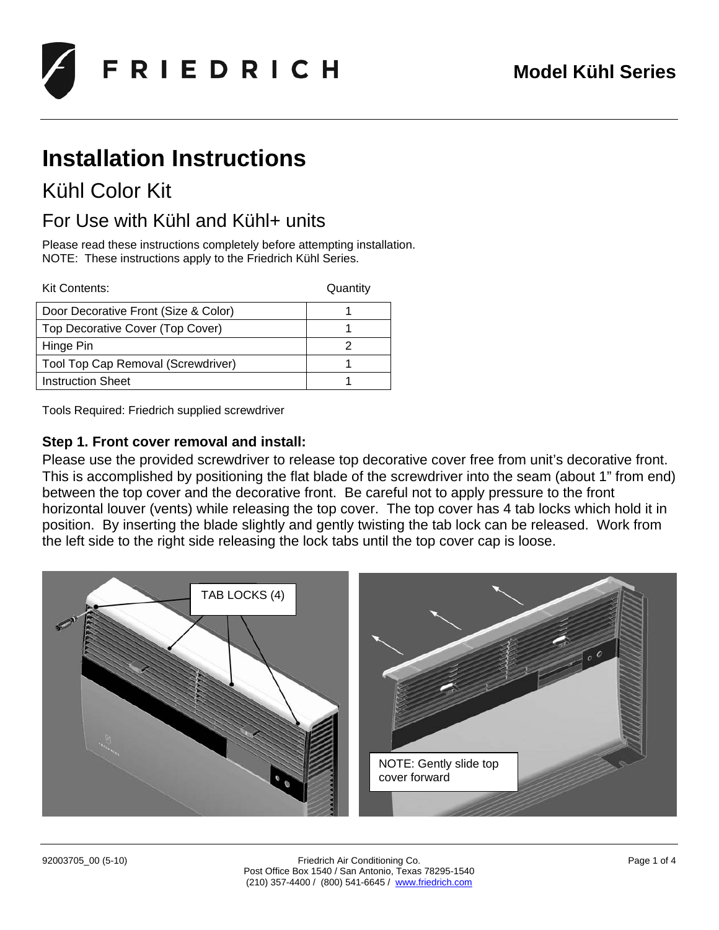

# **Installation Instructions**

## Kühl Color Kit

### For Use with Kühl and Kühl+ units

Please read these instructions completely before attempting installation. NOTE: These instructions apply to the Friedrich Kühl Series.

Kit Contents: Quantity

| Door Decorative Front (Size & Color) |  |
|--------------------------------------|--|
| Top Decorative Cover (Top Cover)     |  |
| Hinge Pin                            |  |
| Tool Top Cap Removal (Screwdriver)   |  |
| <b>Instruction Sheet</b>             |  |

Tools Required: Friedrich supplied screwdriver

### **Step 1. Front cover removal and install:**

Please use the provided screwdriver to release top decorative cover free from unit's decorative front. This is accomplished by positioning the flat blade of the screwdriver into the seam (about 1" from end) between the top cover and the decorative front. Be careful not to apply pressure to the front horizontal louver (vents) while releasing the top cover. The top cover has 4 tab locks which hold it in position. By inserting the blade slightly and gently twisting the tab lock can be released. Work from the left side to the right side releasing the lock tabs until the top cover cap is loose.

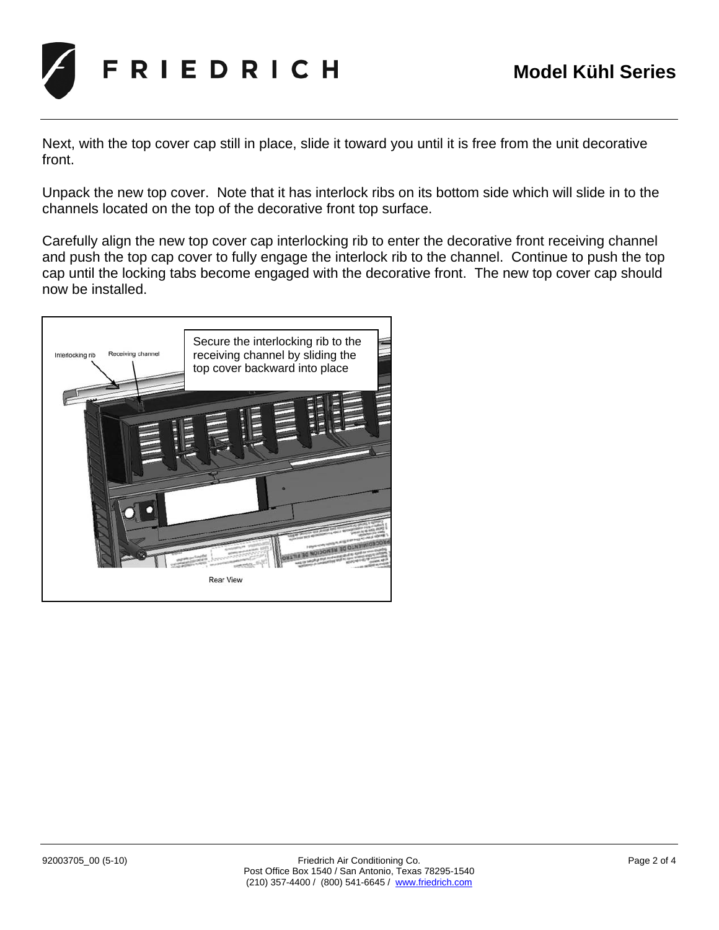

Next, with the top cover cap still in place, slide it toward you until it is free from the unit decorative front.

Unpack the new top cover. Note that it has interlock ribs on its bottom side which will slide in to the channels located on the top of the decorative front top surface.

Carefully align the new top cover cap interlocking rib to enter the decorative front receiving channel and push the top cap cover to fully engage the interlock rib to the channel. Continue to push the top cap until the locking tabs become engaged with the decorative front. The new top cover cap should now be installed.

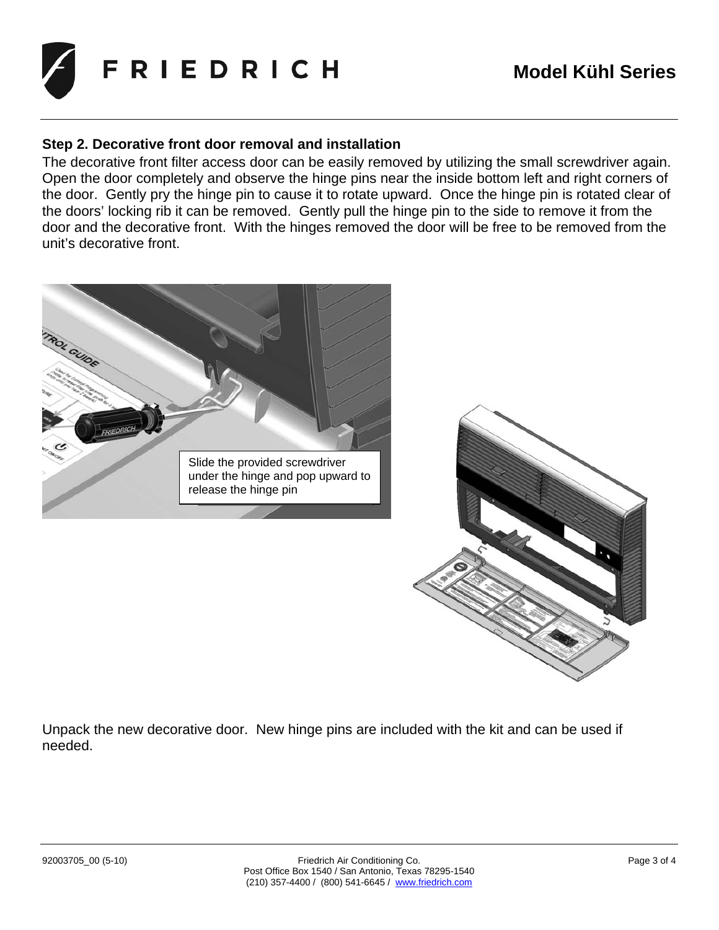

#### **Step 2. Decorative front door removal and installation**

The decorative front filter access door can be easily removed by utilizing the small screwdriver again. Open the door completely and observe the hinge pins near the inside bottom left and right corners of the door. Gently pry the hinge pin to cause it to rotate upward. Once the hinge pin is rotated clear of the doors' locking rib it can be removed. Gently pull the hinge pin to the side to remove it from the door and the decorative front. With the hinges removed the door will be free to be removed from the unit's decorative front.



Unpack the new decorative door. New hinge pins are included with the kit and can be used if needed.